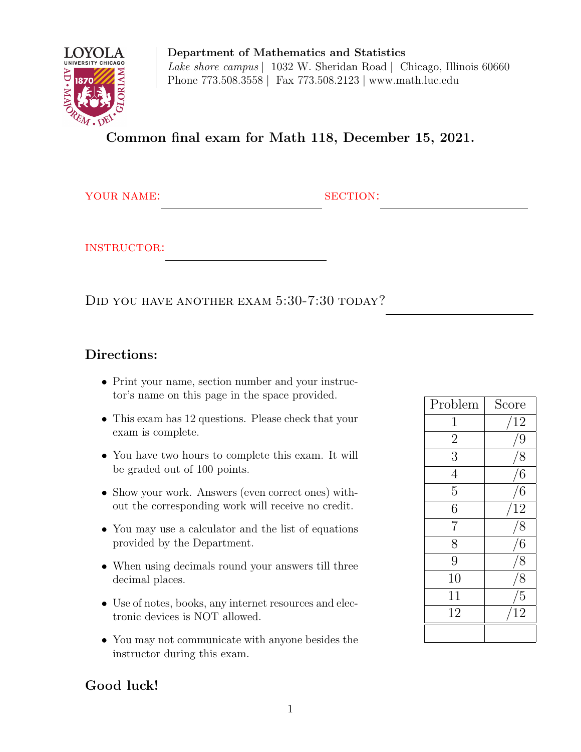

Department of Mathematics and Statistics Lake shore campus | 1032 W. Sheridan Road | Chicago, Illinois 60660 Phone 773.508.3558 | Fax 773.508.2123 | www.math.luc.edu

Common final exam for Math 118, December 15, 2021.

YOUR NAME: SECTION:

instructor:

DID YOU HAVE ANOTHER EXAM  $5:30$ -7:30 TODAY?

## Directions:

- Print your name, section number and your instructor's name on this page in the space provided.
- This exam has 12 questions. Please check that your exam is complete.
- You have two hours to complete this exam. It will be graded out of 100 points.
- Show your work. Answers (even correct ones) without the corresponding work will receive no credit.
- You may use a calculator and the list of equations provided by the Department.
- When using decimals round your answers till three decimal places.
- Use of notes, books, any internet resources and electronic devices is NOT allowed.
- You may not communicate with anyone besides the instructor during this exam.

| Problem        | Score           |
|----------------|-----------------|
| $\mathbf 1$    | 12              |
| $\overline{2}$ | 9               |
| $\overline{3}$ | $\delta$        |
| $\overline{4}$ | 6               |
| $\overline{5}$ | $6\phantom{.}6$ |
| $\overline{6}$ | 12              |
| $\overline{7}$ | 8               |
| 8              | $6\,$           |
| 9              | $\frac{1}{8}$   |
| 10             | 8               |
| 11             | $\overline{5}$  |
| 12             | $\overline{12}$ |
|                |                 |

## Good luck!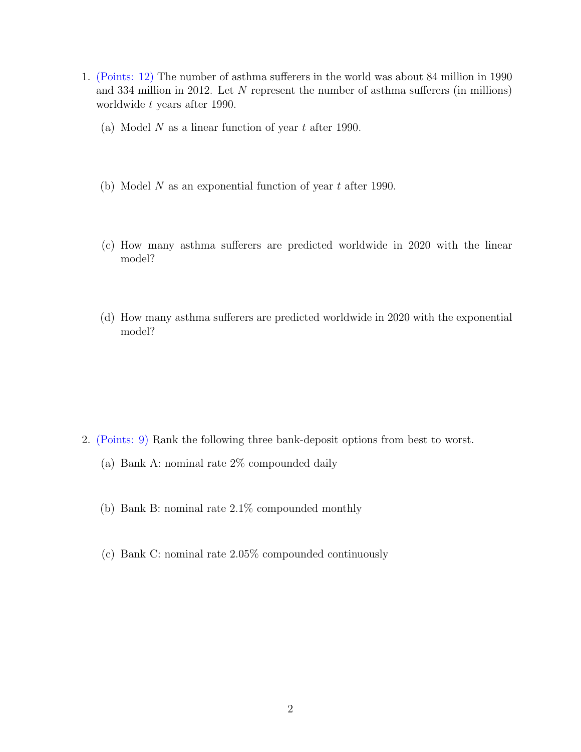- 1. (Points: 12) The number of asthma sufferers in the world was about 84 million in 1990 and 334 million in 2012. Let N represent the number of asthma sufferers (in millions) worldwide t years after 1990.
	- (a) Model N as a linear function of year  $t$  after 1990.
	- (b) Model N as an exponential function of year  $t$  after 1990.
	- (c) How many asthma sufferers are predicted worldwide in 2020 with the linear model?
	- (d) How many asthma sufferers are predicted worldwide in 2020 with the exponential model?

- 2. (Points: 9) Rank the following three bank-deposit options from best to worst.
	- (a) Bank A: nominal rate 2% compounded daily
	- (b) Bank B: nominal rate 2.1% compounded monthly
	- (c) Bank C: nominal rate 2.05% compounded continuously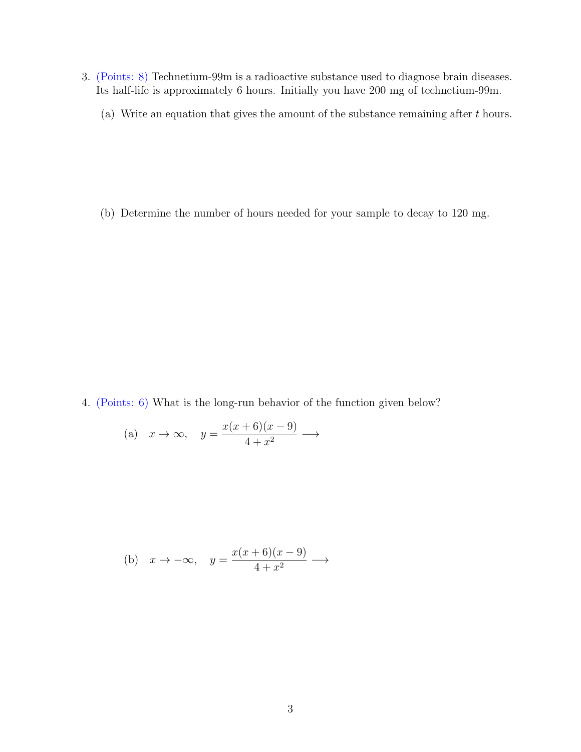- 3. (Points: 8) Technetium-99m is a radioactive substance used to diagnose brain diseases. Its half-life is approximately 6 hours. Initially you have 200 mg of technetium-99m.
	- (a) Write an equation that gives the amount of the substance remaining after  $t$  hours.

(b) Determine the number of hours needed for your sample to decay to 120 mg.

4. (Points: 6) What is the long-run behavior of the function given below?

(a) 
$$
x \to \infty
$$
,  $y = \frac{x(x+6)(x-9)}{4+x^2}$   $\longrightarrow$ 

(b) 
$$
x \to -\infty
$$
,  $y = \frac{x(x+6)(x-9)}{4+x^2}$   $\longrightarrow$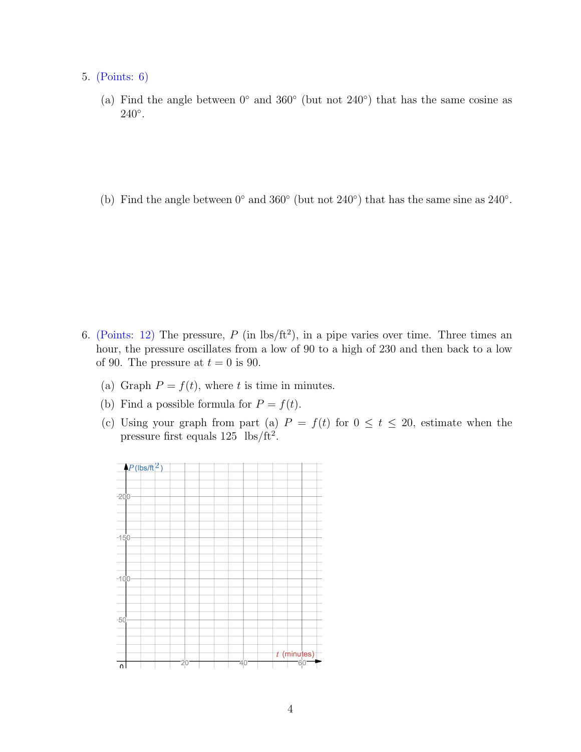- 5. (Points: 6)
	- (a) Find the angle between  $0°$  and  $360°$  (but not  $240°$ ) that has the same cosine as  $240^\circ$ .
	- (b) Find the angle between  $0°$  and  $360°$  (but not  $240°$ ) that has the same sine as  $240°$ .

- 6. (Points: 12) The pressure, P (in  $\text{lbs/ft}^2$ ), in a pipe varies over time. Three times an hour, the pressure oscillates from a low of 90 to a high of 230 and then back to a low of 90. The pressure at  $t = 0$  is 90.
	- (a) Graph  $P = f(t)$ , where t is time in minutes.
	- (b) Find a possible formula for  $P = f(t)$ .
	- (c) Using your graph from part (a)  $P = f(t)$  for  $0 \le t \le 20$ , estimate when the pressure first equals  $125 \text{ lbs/ft}^2$ .

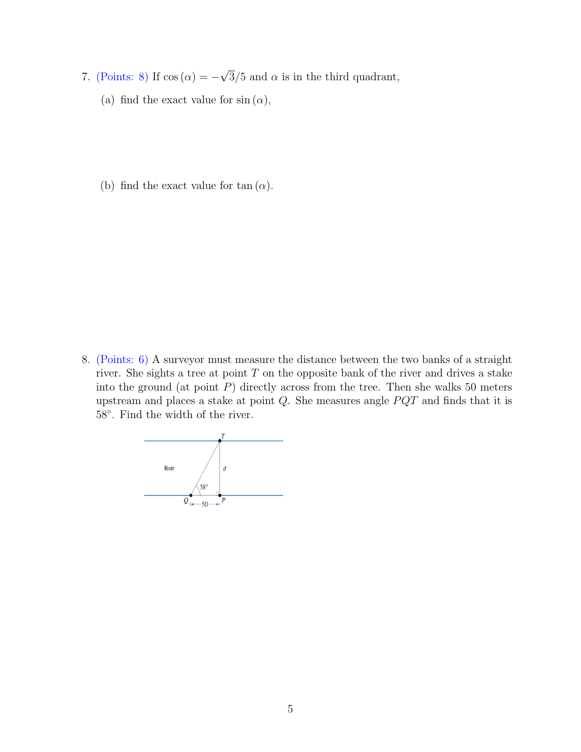- 7. (Points: 8) If  $cos(\alpha) = -$ √  $3/5$  and  $\alpha$  is in the third quadrant,
	- (a) find the exact value for  $sin(\alpha)$ ,
	- (b) find the exact value for tan  $(\alpha)$ .

8. (Points: 6) A surveyor must measure the distance between the two banks of a straight river. She sights a tree at point  $T$  on the opposite bank of the river and drives a stake into the ground (at point  $P$ ) directly across from the tree. Then she walks 50 meters upstream and places a stake at point  $Q$ . She measures angle  $PQT$  and finds that it is 58◦ . Find the width of the river.

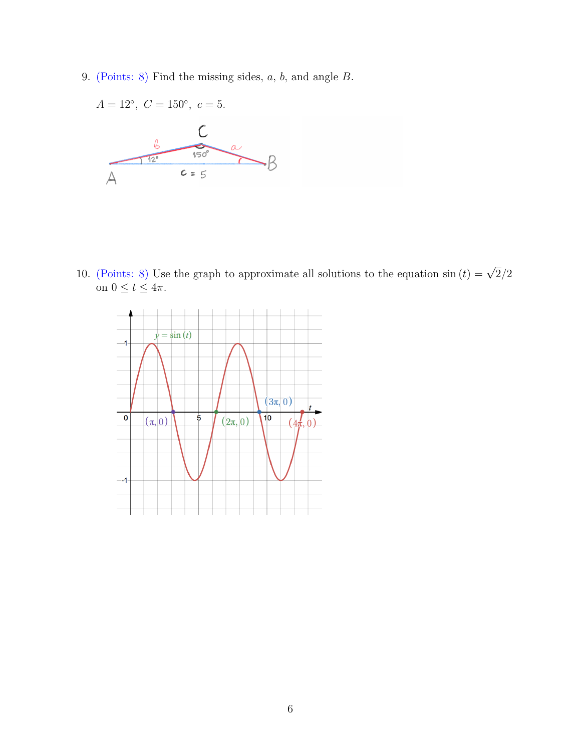9. (Points: 8) Find the missing sides, a, b, and angle B.



10. (Points: 8) Use the graph to approximate all solutions to the equation  $\sin(t) = \sqrt{2}/2$ on  $0 \le t \le 4\pi$ .

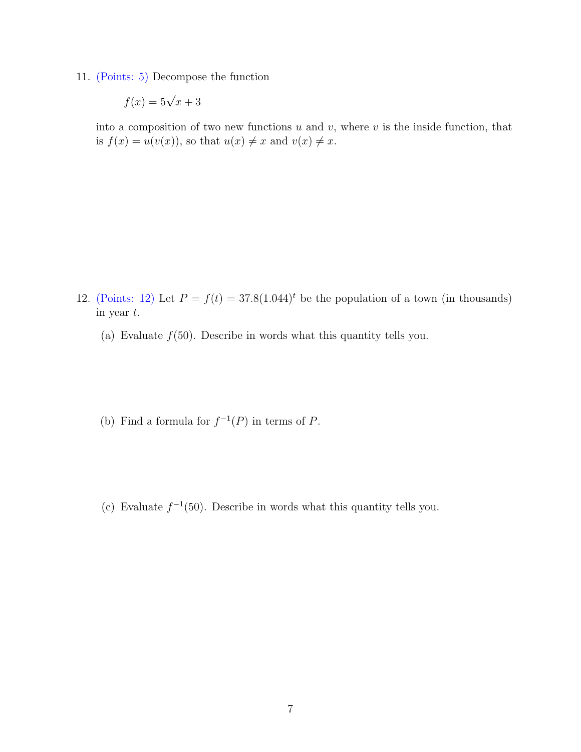11. (Points: 5) Decompose the function

$$
f(x) = 5\sqrt{x+3}
$$

into a composition of two new functions  $u$  and  $v$ , where  $v$  is the inside function, that is  $f(x) = u(v(x))$ , so that  $u(x) \neq x$  and  $v(x) \neq x$ .

- 12. (Points: 12) Let  $P = f(t) = 37.8(1.044)^t$  be the population of a town (in thousands) in year t.
	- (a) Evaluate  $f(50)$ . Describe in words what this quantity tells you.
	- (b) Find a formula for  $f^{-1}(P)$  in terms of P.
	- (c) Evaluate  $f^{-1}(50)$ . Describe in words what this quantity tells you.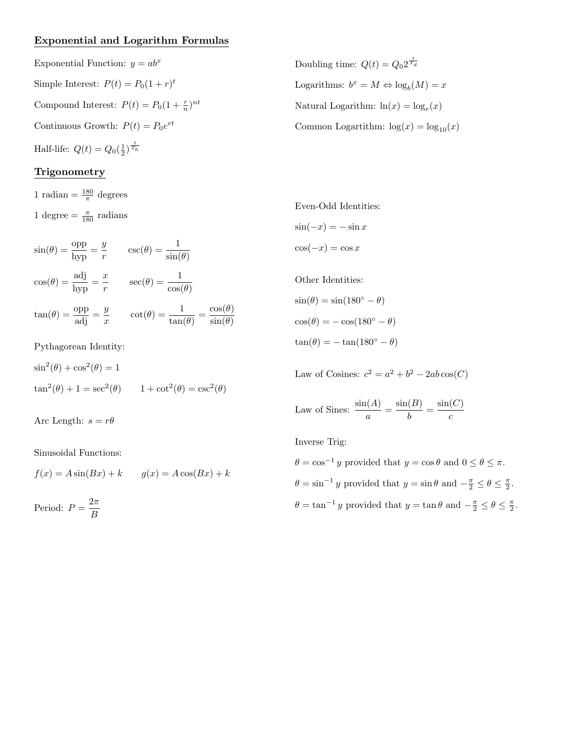## Exponential and Logarithm Formulas

Exponential Function:  $y = ab^x$ Simple Interest:  $P(t) = P_0(1+r)^t$ Compound Interest:  $P(t) = P_0(1 + \frac{r}{n})^{nt}$ Continuous Growth:  $P(t) = P_0 e^{rt}$ Half-life:  $Q(t) = Q_0(\frac{1}{2})^{\frac{t}{T_h}}$ 

## Trigonometry

1 radian =  $\frac{180}{\pi}$  degrees 1 degree  $=\frac{\pi}{180}$  radians

$$
\sin(\theta) = \frac{\text{opp}}{\text{hyp}} = \frac{y}{r} \qquad \csc(\theta) = \frac{1}{\sin(\theta)}
$$

$$
\cos(\theta) = \frac{\text{adj}}{\text{hyp}} = \frac{x}{r} \qquad \sec(\theta) = \frac{1}{\cos(\theta)}
$$

$$
\tan(\theta) = \frac{\text{opp}}{\text{adj}} = \frac{y}{x} \qquad \cot(\theta) = \frac{1}{\tan(\theta)} = \frac{\cos(\theta)}{\sin(\theta)}
$$

Pythagorean Identity:

 $\sin^2(\theta) + \cos^2(\theta) = 1$  $\tan^2(\theta) + 1 = \sec^2(\theta)$   $1 + \cot^2(\theta) = \csc^2(\theta)$ 

Arc Length:  $s = r\theta$ 

Sinusoidal Functions:

$$
f(x) = A\sin(Bx) + k \qquad g(x) = A\cos(Bx) + k
$$

Period:  $P = \frac{2\pi}{R}$ B

Doubling time:  $Q(t) = Q_0 2^{\frac{t}{T_d}}$ Logarithms:  $b^x = M \Leftrightarrow \log_b(M) = x$ Natural Logarithm:  $\ln(x) = \log_e(x)$ Common Logartithm:  $\log(x) = \log_{10}(x)$ 

Even-Odd Identities:  $\sin(-x) = -\sin x$  $\cos(-x) = \cos x$ 

Other Identities:  $\sin(\theta) = \sin(180^\circ - \theta)$  $\cos(\theta) = -\cos(180^\circ - \theta)$  $\tan(\theta) = -\tan(180^\circ - \theta)$ 

Law of Cosines:  $c^2 = a^2 + b^2 - 2ab\cos(C)$ 

Law of Sines:  $\frac{\sin(A)}{a} = \frac{\sin(B)}{b}$  $\frac{B}{b} = \frac{\sin(C)}{c}$ c

Inverse Trig:

 $\theta = \cos^{-1} y$  provided that  $y = \cos \theta$  and  $0 \le \theta \le \pi$ .  $\theta = \sin^{-1} y$  provided that  $y = \sin \theta$  and  $-\frac{\pi}{2} \le \theta \le \frac{\pi}{2}$ .  $\theta = \tan^{-1} y$  provided that  $y = \tan \theta$  and  $-\frac{\pi}{2} \le \theta \le \frac{\pi}{2}$ .